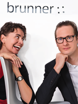## brunner ::

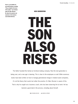Trust is a precondition for successful business coaching. "We go straight to the heart of the matter," says furniture maker Dr. Marc Brunner. He values the openness and experience of his business coach Anette Bartram.

## New Generation



The father founded this family-run furniture-making company. Now the next generation is taking over, and a new age is dawning. This is clear to the employees as well. While numerous books have been written on how to manage generational change in medium-sized companies,

it's not the theory that counts but rather the practice. Dr. Marc Brunner is aware of this.

That is why he sought out a business coach, who has been observing him at work. He has

learned a good deal in the process, including about himself.

**ANDREAS KÖRNER ANDREAS KÖRNER**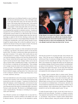International<br>International<br>International

t would be easy to miss Rheinau-Freistett on a map. A small town with attractive half-timbered houses, it lies in the Baden region on the upper Rhine River plains near the border with France, where a mild climate brings forth good wines. In this pastoral idyll, a company like Brunner GmbH, with its 400 employees, is a heavyweight. It makes high-quality tables and chairs for hotel lobbies, cafeterias, lecture halls, airports, and concert halls,

often designing them specially for individual customers. Founded and expanded since 1977 by Rolf Brunner, it has now been taken over by the next generation, led by his eldest son, Dr. Marc Brunner (36). Dr. Brunner quickly discerned what everyone probably realizes when they step onto the bridge as captain for the first time: directing an entire crew while keeping the vessel on course is a two-pronged endeavor that takes a lot of energy plus something like a sixth sense. Brunner himself of course brought the requisite energy. But to refine this additional "sensor," he made the wise decision to bring some support on board. This took the form of a woman with sharp powers of analysis and tact.

"First-generation family companies are often dominated by the founder or patriarch," says Brunner, who joined his parents on the executive board in 2004. "Our father is someone who makes quick decisions and gets down to business." In his opinion, that's exactly what you want in the early phase of a company. "If it keeps on growing, however, you can't have the employees continue to first clear every question with the boss." Brunner noticed that all the urgent issues of the day were leaving him scarcely any time for major strategic matters such as new designs or business fields. Something had to change. "I was familiar with all of the theory on leadership and self-organization. There probably isn't a manager around who doesn't have the relevant reference works at home," he notes. "The problem lies in putting theory into practice. It's incredibly hard to break through your own routines." And so in 2010, Brunner decided to engage a sparring partner. Four criteria were crucial to him in making his selection: the ability to get things done, a focus on results, experience, and trust.

That's how Anette Bartram came to the company. A principal at Porsche Consulting and a business coach, she has been observing the young businessman as well as his managers. "I experience first-hand how he deals with employees, works through projects, and structures his day," she says. "We then discuss these observations and agree on the three most important points that should run measurably better in the future." The boss is under observation. "Ms. Bartram is an indefatigable business coach," remarks Brunner. "She keeps on reminding me of our agreements until I fulfill them."

One of Brunner's promises was to delegate more: no easy task for a perfectionist like him. It requires confidence in the abilities of his staff. As Bartram observes, "You can't give in to the temptation to quickly



Dr. Marc Brunner is an example of the change in culture from a company founder to the next generation and a different style of leadership. Business coach Anette Bartram has observed him frequently at work over a period of months and served as a mirror for his management style. "We've laughed a lot, although it surely hasn't always been funny for him," she says.

finish the task yourself if it's not going quite right." And as Brunner now knows, "That's the only way to manage growth." Such was the case with the new A-Chair. A connoisseur of design, Brunner put a lot of time and passion into this stackable chair with legs in the shape of an "A." When a new employee was charged with taking over the already existing marketing campaign, Brunner became annoyed if something didn't go quite as he had envisioned. "That wasn't fair because there were a lot of things she couldn't have known," he now notes after having realized this in a talk with his coach. "So I sat down with this new employee and explained the entire background and my ideas."

"As a manager I have to empower others to achieve results," Brunner says. "That includes adapting my style to each employee, which could mean a lighter touch for some, or very clear instructions, goals, and supervision for others." People's characters do not change, but their different talents can be put to use in more targeted ways. Management has to proceed on an individual basis. In the process, decisions may not be dictated but instead have to be left partially or entirely to the respective employee—that is what Brunner calls a change in culture. "It's wonderful to see how this enables people to grow," he says.

To master the great number of tasks, he also had to learn how to organize his time more efficiently. "Frustration is a foregone conclusion if you approach each day like a 24-hour race and plan every second of it," says Bartram. Today, Brunner's schedule contains defined blocks of time for different projects, along with priorities and buffer zones.